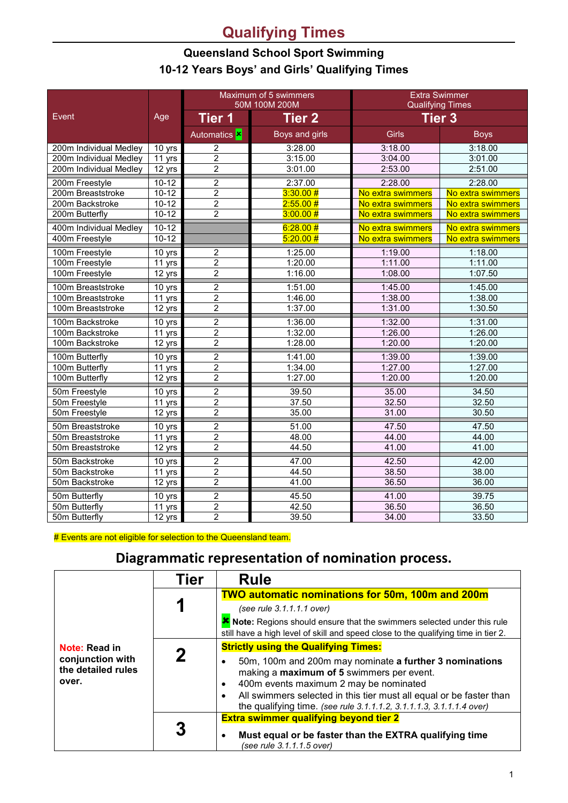## **Qualifying Times**

## **Queensland School Sport Swimming 10-12 Years Boys' and Girls' Qualifying Times**

|                        |                     | Maximum of 5 swimmers<br>50M 100M 200M |                | <b>Extra Swimmer</b><br><b>Qualifying Times</b> |                   |
|------------------------|---------------------|----------------------------------------|----------------|-------------------------------------------------|-------------------|
| Event                  | Age                 | Tier 1                                 | <b>Tier 2</b>  | <b>Tier 3</b>                                   |                   |
|                        |                     | Automatics <b>x</b>                    | Boys and girls | <b>Girls</b>                                    | <b>Boys</b>       |
| 200m Individual Medley | 10 yrs              | $\overline{c}$                         | 3:28.00        | 3:18.00                                         | 3:18.00           |
| 200m Individual Medley | 11 yrs              | $\overline{2}$                         | 3:15.00        | 3:04.00                                         | 3:01.00           |
| 200m Individual Medley | 12 yrs              | $\overline{2}$                         | 3:01.00        | 2:53.00                                         | 2:51.00           |
| 200m Freestyle         | $10 - 12$           | $\overline{2}$                         | 2:37.00        | 2:28.00                                         | 2:28.00           |
| 200m Breaststroke      | $10-12$             | $\overline{2}$                         | 3:30.00#       | No extra swimmers                               | No extra swimmers |
| 200m Backstroke        | $10-12$             | $\overline{2}$                         | 2:55.00#       | No extra swimmers                               | No extra swimmers |
| 200m Butterfly         | $10 - 12$           | $\overline{2}$                         | 3:00.00#       | No extra swimmers                               | No extra swimmers |
| 400m Individual Medley | $10-12$             |                                        | 6:28.00#       | No extra swimmers                               | No extra swimmers |
| 400m Freestyle         | $10 - 12$           |                                        | 5:20.00#       | No extra swimmers                               | No extra swimmers |
| 100m Freestyle         | 10 yrs              | 2                                      | 1:25.00        | 1:19.00                                         | 1:18.00           |
| 100m Freestyle         | 11 yrs              | $\overline{2}$                         | 1:20.00        | 1:11.00                                         | 1:11.00           |
| 100m Freestyle         | 12 yrs              | $\overline{2}$                         | 1:16.00        | 1:08.00                                         | 1:07.50           |
| 100m Breaststroke      | 10 yrs              | $\overline{2}$                         | 1:51.00        | 1:45.00                                         | 1:45.00           |
| 100m Breaststroke      | 11 yrs              | $\overline{2}$                         | 1:46.00        | 1:38.00                                         | 1:38.00           |
| 100m Breaststroke      | 12 yrs              | $\overline{2}$                         | 1:37.00        | 1:31.00                                         | 1:30.50           |
| 100m Backstroke        | 10 yrs              | $\overline{2}$                         | 1:36.00        | 1:32.00                                         | 1:31.00           |
| 100m Backstroke        | 11 yrs              | $\overline{2}$                         | 1:32.00        | 1:26.00                                         | 1:26.00           |
| 100m Backstroke        | 12 yrs              | $\overline{2}$                         | 1:28.00        | 1:20.00                                         | 1:20.00           |
| 100m Butterfly         | 10 yrs              | $\overline{2}$                         | 1:41.00        | 1:39.00                                         | 1:39.00           |
| 100m Butterfly         | 11 yrs              | $\overline{2}$                         | 1:34.00        | 1:27.00                                         | 1:27.00           |
| 100m Butterfly         | 12 yrs              | $\overline{2}$                         | 1:27.00        | 1:20.00                                         | 1:20.00           |
| 50m Freestyle          | 10 yrs              | $\overline{2}$                         | 39.50          | 35.00                                           | 34.50             |
| 50m Freestyle          | 11 yrs              | $\overline{2}$                         | 37.50          | 32.50                                           | 32.50             |
| 50m Freestyle          | 12 yrs              | $\overline{2}$                         | 35.00          | 31.00                                           | 30.50             |
| 50m Breaststroke       | 10 yrs              | $\overline{2}$                         | 51.00          | 47.50                                           | 47.50             |
| 50m Breaststroke       | 11 yrs              | $\overline{2}$                         | 48.00          | 44.00                                           | 44.00             |
| 50m Breaststroke       | 12 yrs              | $\overline{2}$                         | 44.50          | 41.00                                           | 41.00             |
| 50m Backstroke         | 10 yrs              | $\overline{2}$                         | 47.00          | 42.50                                           | 42.00             |
| 50m Backstroke         | 11 yrs              | $\overline{2}$                         | 44.50          | 38.50                                           | 38.00             |
| 50m Backstroke         | 12 yrs              | $\overline{2}$                         | 41.00          | 36.50                                           | 36.00             |
| 50m Butterfly          | 10 yrs              | $\overline{2}$                         | 45.50          | 41.00                                           | 39.75             |
| 50m Butterfly          | 11 yrs              | $\overline{c}$                         | 42.50          | 36.50                                           | 36.50             |
| 50m Butterfly          | $\overline{12}$ yrs | $\overline{2}$                         | 39.50          | 34.00                                           | 33.50             |

# Events are not eligible for selection to the Queensland team.

## **Diagrammatic representation of nomination process.**

|                                                                  | Tier | <b>Rule</b>                                                                                                                                                                                                                                                                                   |  |
|------------------------------------------------------------------|------|-----------------------------------------------------------------------------------------------------------------------------------------------------------------------------------------------------------------------------------------------------------------------------------------------|--|
| Note: Read in<br>conjunction with<br>the detailed rules<br>over. |      | <b>TWO automatic nominations for 50m, 100m and 200m</b>                                                                                                                                                                                                                                       |  |
|                                                                  |      | (see rule 3.1.1.1.1 over)                                                                                                                                                                                                                                                                     |  |
|                                                                  |      | K Note: Regions should ensure that the swimmers selected under this rule<br>still have a high level of skill and speed close to the qualifying time in tier 2.                                                                                                                                |  |
|                                                                  |      | <b>Strictly using the Qualifying Times:</b>                                                                                                                                                                                                                                                   |  |
|                                                                  | 2    | 50m, 100m and 200m may nominate a further 3 nominations<br>making a maximum of 5 swimmers per event.<br>400m events maximum 2 may be nominated<br>All swimmers selected in this tier must all equal or be faster than<br>the qualifying time. (see rule 3.1.1.1.2, 3.1.1.1.3, 3.1.1.1.4 over) |  |
|                                                                  |      | <b>Extra swimmer qualifying beyond tier 2</b>                                                                                                                                                                                                                                                 |  |
|                                                                  |      | Must equal or be faster than the EXTRA qualifying time<br>(see rule 3.1.1.1.5 over)                                                                                                                                                                                                           |  |